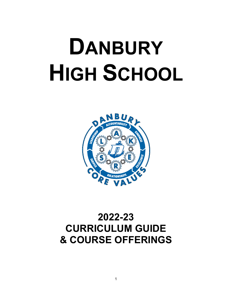# **DANBURY HIGH SCHOOL**



# **2022-23 CURRICULUM GUIDE & COURSE OFFERINGS**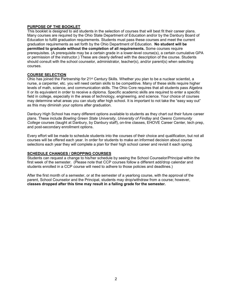#### **PURPOSE OF THE BOOKLET**

This booklet is designed to aid students in the selection of courses that will best fit their career plans. Many courses are required by the Ohio State Department of Education and/or by the Danbury Board of Education to fulfill graduation requirements. Students must pass these courses and meet the current graduation requirements as set forth by the Ohio Department of Education. **No student will be permitted to graduate without the completion of all requirements.** Some courses require prerequisites. (A prerequisite may be a certain grade in a lower-level course(s), a certain cumulative GPA or permission of the instructor.) These are clearly defined with the description of the course. Students should consult with the school counselor, administrator, teacher(s), and/or parent(s) when selecting courses.

#### **COURSE SELECTION**

Ohio has joined the Partnership for 21st Century Skills. Whether you plan to be a nuclear scientist, a nurse, a carpenter, etc. you will need certain skills to be competitive. Many of these skills require higher levels of math, science, and communication skills. The Ohio Core requires that all students pass Algebra II or its equivalent in order to receive a diploma. Specific academic skills are required to enter a specific field in college, especially in the areas of technology, engineering, and science. Your choice of courses may determine what areas you can study after high school. It is important to not take the "easy way out" as this may diminish your options after graduation.

Danbury High School has many different options available to students as they chart out their future career plans. These include *Bowling Green State University*, *University of Findlay* and *Owens Community College* courses (taught at Danbury, by Danbury staff), on-line classes, EHOVE Career Center, tech prep, and post-secondary enrollment options.

Every effort will be made to schedule students into the courses of their choice and qualification, but not all courses will be offered each year. In order for students to make an informed decision about course selections each year they will complete a plan for their high school career and revisit it each spring.

#### **SCHEDULE CHANGES / DROPPING COURSES**

Students can request a change to his/her schedule by seeing the School Counselor/Principal within the first week of the semester. (Please note that CCP courses follow a different add/drop calendar and students enrolled in a CCP course will need to adhere to those policies and deadlines.)

After the first month of a semester, or at the semester of a yearlong course, with the approval of the parent, School Counselor and the Principal, students may drop/withdraw from a course; however, **classes dropped after this time may result in a failing grade for the semester.**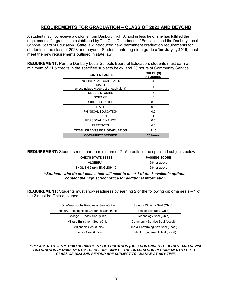## **REQUIREMENTS FOR GRADUATION – CLASS OF 2023 AND BEYOND**

A student may not receive a diploma from Danbury High School unless he or she has fulfilled the requirements for graduation established by The Ohio Department of Education and the Danbury Local Schools Board of Education. State law introduced new, permanent graduation requirements for students in the class of 2023 and beyond. Students entering ninth grade **after July 1, 2019**, must meet the new requirements outlined in state law.

**REQUIREMENT:** Per the Danbury Local Schools Board of Education, students must earn a minimum of 21.5 credits in the specified subjects below and 20 hours of Community Service.

| <b>CONTENT AREA</b>                            | <b>CREDIT(S)</b><br><b>REQUIRED</b> |
|------------------------------------------------|-------------------------------------|
| <b>ENGLISH / LANGUAGE ARTS</b>                 | 4                                   |
| MATH<br>(must include Algebra 2 or equivalent) | 4                                   |
| SOCIAL STUDIES                                 | 3                                   |
| <b>SCIENCE</b>                                 | 3                                   |
| <b>SKILLS FOR LIFE</b>                         | 0.5                                 |
| HFAI TH                                        | 0.5                                 |
| PHYSICAL EDUCATION                             | 0.5                                 |
| <b>FINE ART</b>                                |                                     |
| PERSONAL FINANCE                               | 0.5                                 |
| <b>ELECTIVES</b>                               | 4.5                                 |
| <b>TOTAL CREDITS FOR GRADUATION</b>            | 21.5                                |
| <b>COMMUNITY SERVICE</b>                       | 20 hours                            |

**REQUIREMENT:** Students must earn a minimum of 21.5 credits in the specified subjects below.

| <b>OHIO'S STATE TESTS</b>  | <b>PASSING SCORE</b> |
|----------------------------|----------------------|
| ALGEBRA 1                  | 684 or above         |
| ENGLISH 2 (aka ENGLISH 10) | 684 or above         |

*\*\*Students who do not pass a test will need to meet 1 of the 3 available options – contact the high school office for additional information.*

**REQUIREMENT:** Students must show readiness by earning 2 of the following diploma seals – 1 of the 2 must be Ohio-designed.

| OhioMeansJobs Readiness Seal (Ohio)          | Honors Diploma Seal (Ohio)          |
|----------------------------------------------|-------------------------------------|
| Industry - Recognized Credential Seal (Ohio) | Seal of Biliteracy (Ohio)           |
| College - Ready Seal (Ohio)                  | Technology Seal (Ohio)              |
| Military Enlistment Seal (Ohio)              | Community Service Seal (Local)      |
| Citizenship Seal (Ohio)                      | Fine & Performing Arts Seal (Local) |
| Science Seal (Ohio)                          | Student Engagement Seal (Local)     |

*\*\*PLEASE NOTE – THE OHIO DEPARTMENT OF EDUCATION (ODE) CONTINUES TO UPDATE AND REVISE GRADUATION REQUIREMENTS; THEREFORE, ANY OF THE GRADUATION REUQIREMENTS FOR THE CLASS OF 2023 AND BEYOND ARE SUBJECT TO CHANGE AT ANY TIME.*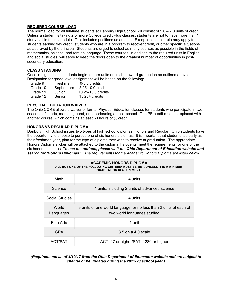#### **REQUIRED COURSE LOAD**

The normal load for all full-time students at Danbury High School will consist of 5.0 – 7.0 units of credit. Unless a student is taking 2 or more College Credit Plus classes, students are not to have more than 1 study hall in their schedule. This includes positions as an aide. Exceptions to this rule may apply to students earning flex credit, students who are in a program to recover credit, or other specific situations as approved by the principal. Students are urged to select as many courses as possible in the fields of mathematics, science, and foreign language. These courses, in addition to the required units in English and social studies, will serve to keep the doors open to the greatest number of opportunities in postsecondary education.

#### **CLASS STANDING**

Once in high school, students begin to earn units of credits toward graduation as outlined above. Designation for grade level assignment will be based on the following:

| Grade 9  | Freshman  | $0-5.0$ credits    |
|----------|-----------|--------------------|
| Grade 10 | Sophomore | 5.25-10.0 credits  |
| Grade 11 | Junior    | 10.25-15.0 credits |
| Grade 12 | Senior    | $15.25 +$ credits  |

#### **PHYSICAL EDUCATION WAIVER**

The Ohio CORE allows a waiver of formal Physical Education classes for students who participate in two seasons of sports, marching band, or cheerleading at their school. The PE credit must be replaced with another course, which contains at least 60 hours or ½ credit.

#### **HONORS VS REGULAR DIPLOMA**

Danbury High School issues two types of high school diplomas: Honors and Regular. Ohio students have the opportunity to choose to pursue one of six honors diplomas. It is important that students, as early as their freshman year, plan for the type of diploma they wish to receive at graduation. The appropriate Honors Diploma sticker will be attached to the diploma if students meet the requirements for one of the six honors diplomas. *To see the options, please visit the Ohio Department of Education website and search for 'Honors Diplomas.' The requirements for the Academic Honors Diploma are listed below.* 

#### **ACADEMIC HONORS DIPLOMA ALL BUT ONE OF THE FOLLOWING CRITERIA MUST BE MET, UNLESS IT IS A MINIMUM GRADUATION REQUIREMENT.**

| Math               | 4 units                                                                                          |
|--------------------|--------------------------------------------------------------------------------------------------|
| Science            | 4 units, including 2 units of advanced science                                                   |
| Social Studies     | 4 units                                                                                          |
| World<br>Languages | 3 units of one world language, or no less than 2 units of each of<br>two world languages studied |
| Fine Arts          | 1 unit                                                                                           |
| <b>GPA</b>         | $3.5$ on a $4.0$ scale                                                                           |
| <b>ACT/SAT</b>     | ACT: 27 or higher/SAT: 1280 or higher                                                            |

#### *(Requirements as of 4/10/17 from the Ohio Department of Education website and are subject to change or be updated during the 2022-23 school year.)*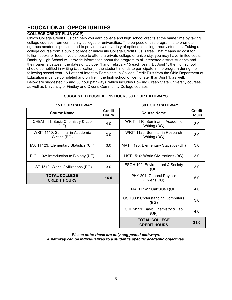# **EDUCATIONAL OPPORTUNITIES**

#### **COLLEGE CREDIT PLUS (CCP)**

Ohio's College Credit Plus can help you earn college and high school credits at the same time by taking college courses from community colleges or universities. The purpose of this program is to promote rigorous academic pursuits and to provide a wide variety of options to college-ready students. Taking a college course from a public college or university College Credit Plus is free. That means no cost for tuition, books or fees. If you choose to attend a private college or university, you may have limited costs. Danbury High School will provide information about the program to all interested district students and their parents between the dates of October 1 and February 15 each year. By April 1, the high school should be notified in writing (application) if the student intends to participate in the program during the following school year. A Letter of Intent to Participate in College Credit Plus from the Ohio Department of Education must be completed and on file in the high school office no later than April 1, as well. Below are suggested 15 and 30 hour pathways, which includes Bowling Green State University courses, as well as University of Findlay and Owens Community College courses.

#### **SUGGESTED POSSIBLE 15 HOUR / 30 HOUR PATHWAYS**

| <b>15 HOUR PATHWAY</b>                         |                               | <b>30 HOUR PATHWAY</b>                         |                               |
|------------------------------------------------|-------------------------------|------------------------------------------------|-------------------------------|
| <b>Course Name</b>                             | <b>Credit</b><br><b>Hours</b> | <b>Course Name</b>                             | <b>Credit</b><br><b>Hours</b> |
| CHEM 111: Basic Chemistry & Lab<br>(UF)        | 4.0                           | WRIT 1110: Seminar in Academic<br>Writing (BG) | 3.0                           |
| WRIT 1110: Seminar in Academic<br>Writing (BG) | 3.0                           | WRIT 1120: Seminar in Research<br>Writing (BG) | 3.0                           |
| MATH 123: Elementary Statistics (UF)           | 3.0                           | MATH 123: Elementary Statistics (UF)           | 3.0                           |
| BIOL 102: Introduction to Biology (UF)         | 3.0                           | HST 1510: World Civilizations (BG)             | 3.0                           |
| HST 1510: World Civilizations (BG)             | 3.0                           | ESOH 100: Environment & Society<br>(UF)        | 3.0                           |
| <b>TOTAL COLLEGE</b><br><b>CREDIT HOURS</b>    | 16.0                          | PHY 201: General Physics<br>(Owens CC)         | 5.0                           |
|                                                |                               | MATH 141: Calculus I (UF)                      | 4.0                           |
|                                                |                               | CS 1000: Understanding Computers<br>(BG)       | 3.0                           |
|                                                |                               | CHEM111: Basic Chemistry & Lab<br>(UF)         | 4.0                           |
|                                                |                               | <b>TOTAL COLLEGE</b><br><b>CREDIT HOURS</b>    | 31.0                          |

*Please note: these are only suggested pathways. A pathway can be individualized to a student's specific academic objectives.*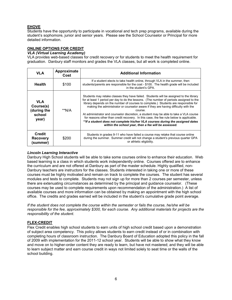#### **EHOVE**

Students have the opportunity to participate in vocational and tech prep programs, available during the student's sophomore, junior and senior years. Please see the School Counselor or Principal for more detailed information.

#### **ONLINE OPTIONS FOR CREDIT**

#### *VLA (Virtual Learning Academy)*

VLA provides web-based classes for credit recovery or for students to meet the health requirement for graduation. Danbury staff monitors and grades the VLA classes, but all work is completed online.

| <b>VLA</b>                                                | Approximate<br>Cost | <b>Additional Information</b>                                                                                                                                                                                                                                                                                                                                                                                                                                                                                                                                                                                                                                                                                 |
|-----------------------------------------------------------|---------------------|---------------------------------------------------------------------------------------------------------------------------------------------------------------------------------------------------------------------------------------------------------------------------------------------------------------------------------------------------------------------------------------------------------------------------------------------------------------------------------------------------------------------------------------------------------------------------------------------------------------------------------------------------------------------------------------------------------------|
| <b>Health</b>                                             | \$100               | If a student elects to take health online, through VLA in the summer, then<br>students/parents are responsible for the cost - \$100. The health grade will be included<br>in the student's GPA.                                                                                                                                                                                                                                                                                                                                                                                                                                                                                                               |
| <b>VLA</b><br>Course(s)<br>(during the<br>school<br>year) | **N/A               | Students may retake classes they have failed. Students will be assigned to the library<br>for at least 1 period per day to do the lessons. (The number of periods assigned to the<br>library depends on the number of courses to complete.) Students are responsible for<br>making the administrator or counselor aware if they are having difficulty with the<br><b>COULSE</b><br>At administrator and counselor discretion, a student may be able to take a VLA course<br>for reasons other than credit recovery. In this case, the fee rule below is applicable.<br>**If a student does not complete his/her VLA courses during the assigned dates<br>within the school year, then a fee will be assessed. |
| <b>Credit</b><br><b>Recovery</b><br>(summer)              | \$200               | Students in grades 9-11 who have failed a course may retake that course online<br>during the summer. Summer credit will not change a student's previous quarter GPA<br>or athletic eligibility.                                                                                                                                                                                                                                                                                                                                                                                                                                                                                                               |

#### *Lincoln Learning Interactive*

Danbury High School students will be able to take some courses online to enhance their education. Web based learning is a class in which students work independently online. Courses offered are to enhance the curriculum and are not offered at Danbury as part of the master schedule. Highly qualified, non-Danbury teachers are instructors for the classes. Students interested in taking one or more of these courses must be highly motivated and remain on track to complete the courses. The student has several modules and tests to complete. Students may not sign up for more than 2 courses per semester, unless there are extenuating circumstances as determined by the principal and guidance counselor. (These courses may be used to complete requirements upon recommendation of the administration.) A list of available courses and more information can be obtained by making an appointment with the high school office. The credits and grades earned will be included in the student's cumulative grade point average.

*If the student does not complete the course within the semester or fails the course, he/she will be responsible for the fee, approximately \$300, for each course. Any additional materials for projects are the responsibility of the student.*

#### **FLEX-CREDIT**

Flex Credit enables high school students to earn units of high school credit based upon a demonstration of subject area competency. This policy allows students to earn credit instead of or in combination with completing hours of classroom instruction. The Danbury Board of Education adopted this policy in the fall of 2009 with implementation for the 2011-12 school year. Students will be able to show what they know and move on to higher-order content they are ready to learn, but have not mastered; and they will be able to learn subject matter and earn course credit in ways not limited solely to seat time or the walls of the school building.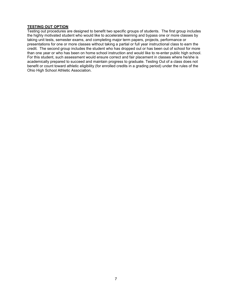#### **TESTING OUT OPTION**

Testing out procedures are designed to benefit two specific groups of students. The first group includes the highly motivated student who would like to accelerate learning and bypass one or more classes by taking unit tests, semester exams, and completing major term papers, projects, performance or presentations for one or more classes without taking a partial or full year instructional class to earn the credit. The second group includes the student who has dropped out or has been out of school for more than one year or who has been on home school instruction and would like to re-enter public high school. For this student, such assessment would ensure correct and fair placement in classes where he/she is academically prepared to succeed and maintain progress to graduate. Testing Out of a class does not benefit or count toward athletic eligibility (for enrolled credits in a grading period) under the rules of the Ohio High School Athletic Association.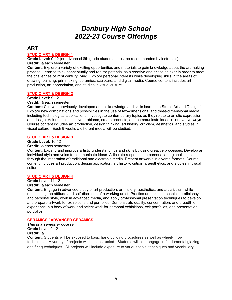# *Danbury High School 2022-23 Course Offerings*

# **ART**

#### **STUDIO ART & DESIGN 1**

**Grade Level:** 9-12 (or advanced 8th grade students, must be recommended by instructor) **Credit:** ½ each semester

**Content:** Explore a variety of exciting opportunities and materials to gain knowledge about the art making process. Learn to think conceptually and realize potential as a creative and critical thinker in order to meet the challenges of 21st century living. Explore personal interests while developing skills in the areas of drawing, painting, printmaking, ceramics, sculpture, and digital media. Course content includes art production, art appreciation, and studies in visual culture.

#### **STUDIO ART & DESIGN 2**

#### **Grade Level:** 9-12

**Credit:** ½ each semester

**Content:** Cultivate previously developed artistic knowledge and skills learned in Studio Art and Design 1. Explore new combinations and possibilities in the use of two-dimensional and three-dimensional media including technological applications. Investigate contemporary topics as they relate to artistic expression and design. Ask questions, solve problems, create products, and communicate ideas in innovative ways. Course content includes art production, design thinking, art history, criticism, aesthetics, and studies in visual culture. Each 9 weeks a different media will be studied.

#### **STUDIO ART & DESIGN 3**

#### **Grade Level:** 10-12

#### **Credit:** ½ each semester

**Content:** Expand and improve artistic understandings and skills by using creative processes. Develop an individual style and voice to communicate ideas. Articulate responses to personal and global issues through the integration of traditional and electronic media. Present artworks in diverse formats. Course content includes art production, design application, art history, criticism, aesthetics, and studies in visual culture.

#### **STUDIO ART & DESIGN 4**

**Grade** Level: 11-12

#### **Credit:** ½ each semester

**Content:** Engage in advanced study of art production, art history, aesthetics, and art criticism while maintaining the attitude and self-discipline of a working artist. Practice and exhibit technical proficiency and personal style, work in advanced media, and apply professional presentation techniques to develop and prepare artwork for exhibitions and portfolios. Demonstrate quality, concentration, and breadth of experience in a body of work and select work for personal exhibitions, exit portfolios, and presentation portfolios.

#### **CERAMICS / ADVANCED CERAMICS**

*This is a semester course*. **Grade** Level: 9-12 **Credit:** ½

**Content:** Students will be exposed to basic hand building procedures as well as wheel-thrown techniques. A variety of projects will be constructed. Students will also engage in fundamental glazing and firing techniques. All projects will include exposure to various tools, techniques and vocabulary.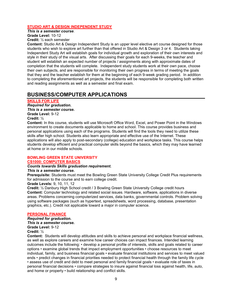#### **STUDIO ART & DESIGN INDEPENDENT STUDY**

*This is a semester course*.

**Grade Level:** 10-12 **Credit:** ½ each semester

**Content:** Studio Art & Design Independent Study is an upper level elective art course designed for those students who wish to explore art further than that offered in Studio Art & Design 3 or 4. Students taking Independent Study Art will establish goals for individual growth and exploration of their own interests and style in their study of the visual arts. After discussing their goals for each 9-weeks, the teacher and student will establish an expected number of projects / assignments along with approximate dates of completion that the students will complete. Independent study students work at their own pace, choose their own subjects, and are responsible for monitoring their own progress in terms of meeting the goals that they and the teacher establish for them at the beginning of each 9-week grading period. In addition to completing the aforementioned art projects, the students will be responsible for completing both written and reading assignments as well as a semester and final exam.

# **BUSINESS/COMPUTER APPLICATIONS**

#### **SKILLS FOR LIFE**

*Required for graduation.* *This is a semester course.* **Grade Level:** 9-12 **Credit:** ½

**Content:** In this course, students will use Microsoft Office Word, Excel, and Power Point in the Windows environment to create documents applicable to home and school. This course provides business and personal applications using each of the programs. Students will find the tools they need to utilize these skills after high school. Students also learn appropriate and effective use of the Internet. These applications will also apply to post-secondary (college) education and workplace tasks. This course helps students develop efficient and practical computer skills beyond the basics, which they may have learned at home or in our middle schools.

#### **BOWLING GREEN STATE UNIVERSITY CS1000: COMPUTER BASICS**

#### *Counts towards Skills graduation requirement.*

#### *This is a semester course.*

**Prerequisite:** Students must meet the Bowling Green State University College Credit Plus requirements for admission to the course and to earn college credit.

**Grade Levels:** 9, 10, 11, 12

**Credit:** ½ Danbury High School credit / 3 Bowling Green State University College credit hours **Content:** Computer technology and related social issues. Hardware, software, applications in diverse areas. Problems concerning computerized services, data banks, governmental controls. Problem solving using software packages (such as hypertext, spreadsheets, word processing, database, presentation graphics, etc.). Credit not applicable toward a major in computer science.

#### **PERSONAL FINANCE**

*Required for graduation. This is a semester course.* **Grade Level:** 9-12

#### **Credit:** ½

**Content:** Students will develop attitudes and skills to achieve personal and workplace financial wellness, as well as explore careers and examine how career choices can impact finances. Intended learning outcomes include the following: • develop a personal profile of interests, skills and goals related to career options • examine global trends that impact employment opportunities • choose resources to meet individual, family, and business financial goals • evaluate financial institutions and services to meet valued ends • predict changes in financial priorities needed to protect financial health through the family life cycle • assess use of credit and debt to meet personal and family financial goals • evaluate role of taxes in personal financial decisions • compare strategies to insure against financial loss against health, life, auto, and home or property • build relationship and conflict skills.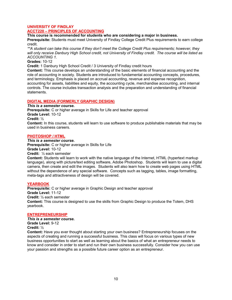#### **UNIVERSITY OF FINDLAY ACCT220 – PRINCIPLES OF ACCOUNTING**

**This course is recommended for students who are considering a major in business.**

**Prerequisite:** Students must meet University of Findlay College Credit Plus requirements to earn college credit.

*\*\*A student can take this course if they don't meet the College Credit Plus requirements; however, they will only receive Danbury High School credit, not University of Findlay credit. The course will be listed as ACCOUNTING 1.* 

#### **Grades:** 10-12

**Credit:** 1 Danbury High School Credit / 3 University of Findlay credit hours

**Content:** This course develops an understanding of the basic elements of financial accounting and the role of accounting in society. Students are introduced to fundamental accounting concepts, procedures, and terminology. Emphasis is placed on accrual accounting, revenue and expense recognition, accounting for assets, liabilities and equity, the accounting cycle, merchandise accounting, and internal controls. The course includes transaction analysis and the preparation and understanding of financial statements.

#### **DIGITAL MEDIA (FORMERLY GRAPHIC DESIGN)**

*This is a semester course.* **Prerequisite:** C or higher average in Skills for Life and teacher approval **Grade Level:** 10-12 **Credit:** ½ **Content:** In this course, students will learn to use software to produce publishable materials that may be used in business careers.

#### **PHOTOSHOP / HTML**

*This is a semester course.*

**Prerequisite:** C or higher average in Skills for Life **Grade Level:** 10-12 **Credit:** ½ each semester

**Content:** Students will learn to work with the native language of the Internet, HTML (hypertext markup language), along with picture/text editing software, Adobe Photoshop. Students will learn to use a digital camera, then create and edit the images. Students will also learn how to create web pages using HTML without the dependence of any special software. Concepts such as tagging, tables, image formatting, meta-tags and attractiveness of design will be covered.

#### **YEARBOOK**

**Prerequisite:** C or higher average in Graphic Design and teacher approval **Grade Level:** 11-12 **Credit:** ½ each semester **Content:** This course is designed to use the skills from Graphic Design to produce the Totem, DHS yearbook.

#### **ENTREPRENEURSHIP**

*This is a semester course.* **Grade Level:** 9-12 **Credit:** ½

**Content:** Have you ever thought about starting your own business? Entrepreneurship focuses on the aspects of creating and running a successful business. This class will focus on various types of new business opportunities to start as well as learning about the basics of what an entrepreneur needs to know and consider in order to start and run their own business successfully. Consider how you can use your passion and strengths as a possible future career option as an entrepreneur.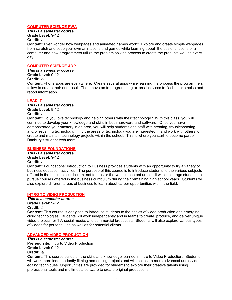#### **COMPUTER SCIENCE PWA**

*This is a semester course.* **Grade Level:** 9-12

**Credit:** ½

**Content:** Ever wonder how webpages and animated games work? Explore and create simple webpages from scratch and code your own animations and games while learning about the basic functions of a computer and how programmers utilize the problem solving process to create the products we use every day.

#### **COMPUTER SCIENCE ADP**

*This is a semester course.* **Grade Level:** 9-12 **Credit:** ½

**Content:** Phone apps are everywhere. Create several apps while learning the process the programmers follow to create their end result. Then move on to programming external devices to flash, make noise and report information.

#### **LEAD IT**

*This is a semester course.* **Grade Level:** 9-12 **Credit:** ½

**Content:** Do you love technology and helping others with their technology? With this class, you will continue to develop your knowledge and skills in both hardware and software. Once you have demonstrated your mastery in an area, you will help students and staff with creating, troubleshooting and/or repairing technology. Find the areas of technology you are interested in and work with others to create and maintain technology projects within the school. This is where you start to become part of Danbury's student tech team.

#### **BUSINESS FOUNDATIONS**

*This is a semester course.* **Grade Level:** 9-12 **Credit:** ½

**Content:** Foundations: Introduction to Business provides students with an opportunity to try a variety of business education activities. The purpose of this course is to introduce students to the various subjects offered in the business curriculum, not to master the various content areas. It will encourage students to pursue courses offered in the business curriculum during their remaining high school years. Students will also explore different areas of business to learn about career opportunities within the field.

#### **INTRO TO VIDEO PRODUCTION**

*This is a semester course.* **Grade Level:** 9-12 **Credit:** ½

**Content:** This course is designed to introduce students to the basics of video production and emerging cloud technologies. Students will work independently and in teams to create, produce, and deliver unique video projects for TV, social media, and commercial broadcasts. Students will also explore various types of videos for personal use as well as for potential clients.

#### **ADVANCED VIDEO PRODUCTION**

*This is a semester course.* **Prerequisite:** Intro to Video Production **Grade Level:** 9-12 **Credit:** ½

**Content:** This course builds on the skills and knowledge learned in Intro to Video Production. Students will work more independently filming and editing projects and will also learn more advanced audio/video editing techniques. Opportunities are provided for students to explore their creative talents using professional tools and multimedia software to create original productions.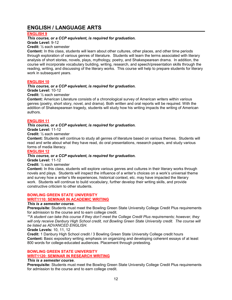# **ENGLISH / LANGUAGE ARTS**

#### **ENGLISH 9**

#### *This course, or a CCP equivalent, is required for graduation.*

**Grade Level:** 9-12

#### **Credit:** ½ each semester

**Content:** In this class, students will learn about other cultures, other places, and other time periods through exploration of various genres of literature. Students will learn the terms associated with literary analysis of short stories, novels, plays, mythology, poetry, and Shakespearean drama. In addition, the course will incorporate vocabulary building, writing, research, and speech/presentation skills through the reading, writing, and discussing of the literary works. This course will help to prepare students for literary work in subsequent years.

#### **ENGLISH 10**

#### *This course, or a CCP equivalent, is required for graduation.*

**Grade Level:** 10-12

**Credit:** ½ each semester

**Content:** American Literature consists of a chronological survey of American writers within various genres (poetry, short story, novel, and drama). Both written and oral reports will be required. With the addition of Shakespearean tragedy, students will study how his writing impacts the writing of American authors.

#### **ENGLISH 11**

#### *This course, or a CCP equivalent, is required for graduation.*

**Grade Level:** 11-12

**Credit:** ½ each semester

**Content:** Students will continue to study all genres of literature based on various themes. Students will read and write about what they have read, do oral presentations, research papers, and study various forms of media literacy.

#### **ENGLISH 12**

#### *This course, or a CCP equivalent, is required for graduation.*

**Grade Level:** 11-12

**Credit:** ½ each semester

**Content:** In this class, students will explore various genres and cultures in their literary works through novels and plays. Students will inspect the influence of a writer's choices on a work's universal theme and survey how a writer's life experiences, historical context, etc. may have impacted the literary work. Students will continue to build vocabulary, further develop their writing skills, and provide constructive criticism to other students.

#### **BOWLING GREEN STATE UNIVERSITY**

#### **WRIT1110: SEMINAR IN ACADEMIC WRITING**

#### *This is a semester course.*

**Prerequisite:** Students must meet the Bowling Green State University College Credit Plus requirements for admission to the course and to earn college credit.

*\*\*A student can take this course if they don't meet the College Credit Plus requirements; however, they will only receive Danbury High School credit, not Bowling Green State University credit. The course will be listed as ADVANCED ENGLISH.*

#### **Grade Levels:** 10, 11, 12

**Credit:** 1 Danbury High School credit / 3 Bowling Green State University College credit hours **Content:** Basic expository writing; emphasis on organizing and developing coherent essays of at least 800 words for college-educated audiences. Placement through pretesting.

#### **BOWLING GREEN STATE UNIVERSITY WRIT1120: SEMINAR IN RESEARCH WRITING**

#### *This is a semester course.*

**Prerequisite:** Students must meet the Bowling Green State University College Credit Plus requirements for admission to the course and to earn college credit.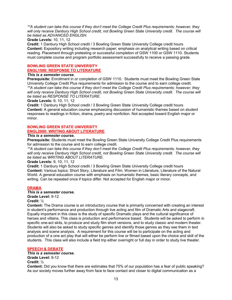*\*\*A student can take this course if they don't meet the College Credit Plus requirements; however, they will only receive Danbury High School credit, not Bowling Green State University credit. The course will be listed as ADVANCED ENGLISH.*

#### **Grade Levels:** 10, 11, 12

**Credit:** 1 Danbury High School credit / 3 Bowling Green State University College credit hours **Content:** Expository writing including research paper; emphasis on analytical writing based on critical reading. Placement through pretesting or successful completion of GSW 1100 or GSW 1110. Students must complete course and program portfolio assessment successfully to receive a passing grade.

#### **BOWLING GREEN STATE UNIVERSITY ENGL1500: RESPONSE TO LITERATURE**

#### *This is a semester course.*

**Prerequisite:** Enrollment in or completion of GSW 1110. Students must meet the Bowling Green State University College Credit Plus requirements for admission to the course and to earn college credit. *\*\*A student can take this course if they don't meet the College Credit Plus requirements; however, they will only receive Danbury High School credit, not Bowling Green State University credit. The course will be listed as RESPONSE TO LITERATURE.*

#### **Grade Levels:** 9, 10, 11, 12

**Credit:** 1 Danbury High School credit / 3 Bowling Green State University College credit hours **Content:** A general education course emphasizing discussion of humanistic themes based on student responses to readings in fiction, drama, poetry and nonfiction. Not accepted toward English major or minor.

#### **BOWLING GREEN STATE UNIVERSITY ENGL2000: WRITING ABOUT LITERATURE**

#### *This is a semester course.*

**Prerequisite:** Students must meet the Bowling Green State University College Credit Plus requirements for admission to the course and to earn college credit.

*\*\*A student can take this course if they don't meet the College Credit Plus requirements; however, they will only receive Danbury High School credit, not Bowling Green State University credit. The course will be listed as WRITING ABOUT LITERATURE.*

#### **Grade Levels:** 9, 10, 11, 12

**Credit:** 1 Danbury High School credit / 3 Bowling Green State University College credit hours **Content:** Various topics: Short Story, Literature and Film, Women in Literature, Literature of the Natural World. A general education course with emphasis on humanistic themes, basic literary concepts, and writing. Can be repeated once if topics differ. Not accepted for English major or minor.

#### **DRAMA**

#### *This is a semester course.*

**Grade Level:** 9-12

#### **Credit:** ½

**Content:** The Drama course is an introductory course that is primarily concerned with creating an interest in student's performance and production through live acting and film of Dramatic Arts and stagecraft. Equally important in this class is the study of specific Dramatic plays and the cultural significance of heroes and villains. This class is production and performance based. Students will be asked to perform in specific one-act skits, to produce and study film short versions, and to study classic and modern theater. Students will also be asked to study specific genres and identify those genres as they see them in text analysis and scene analysis. A requirement for this course will be to participate on the acting and production of a one act play that will either be perform live or filmed based upon the choice and skill of the students. This class will also include a field trip either overnight or full day in order to study live theater.

#### **SPEECH & DEBATE**

#### *This is a semester course.*

**Grade Level:** 9-12

#### **Credit:** ½

**Content:** Did you know that there are estimates that 75% of our population has a fear of public speaking? As our society moves further away from face to face contact and closer to digital communication as a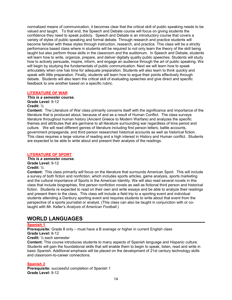normalized means of communication, it becomes clear that the critical skill of public speaking needs to be valued and taught. To that end, the Speech and Debate course will focus on giving students the confidence they need to speak publicly. Speech and Debate is an introductory course that covers a variety of styles of public speaking and formal debate. Through research and practice students will become familiar with these styles through instruction, research, and practice. This class will be a strictly performance based class where in students will be required to not only learn the theory of the skill being taught but also perform those skills in the classroom and the auditorium. In Speech and Debate, students will learn how to write, organize, prepare, and deliver digitally quality public speeches. Students will study how to actively persuade, inspire, inform, and engage an audience through the art of public speaking. We will begin by studying the fundamentals of public communication. Next we will learn how to speak articulately when one has time for adequate preparation. Students will also learn to think quickly and speak with little preparation. Finally, students will learn how to argue their points effectively through debate. Students will also learn the critical skill of evaluating speeches and give direct and specific feedback to one another based on a specific rubric.

#### **LITERATURE OF WAR**

*This is a semester course.* **Grade Level:** 9-12 **Credit:** ½

**Content:** The Literature of War class primarily concerns itself with the significance and importance of the literature that is produced about, because of and as a result of Human Conflict. The class surveys literature throughout human history (Ancient Greece to Modern Warfare) and analyzes the specific themes and attributes that are germane to all literature surrounding war regardless of time period and culture. We will read different genres of literature including first person letters, battle accounts, government propaganda, and third person researched historical accounts as well as historical fiction. This class requires a large volume of reading and a high interest in History and Human conflict. Students are expected to be able to write about and present their analysis of the readings.

#### **LITERATURE OF SPORT**

*This is a semester course.* **Grade Level:** 9-12 **Credit:** ½

**Content:** This class primarily will focus on the literature that surrounds American Sport. This will include a survey of both fiction and nonfiction, which includes sports articles, game analysis, sports marketing and the cultural importance of Sports in the American Identity. We will also read several novels in this class that include biographies, first person nonfiction novels as well as fictional third person and historical fiction. Students re expected to read on their own and write essays and be able to analyze their readings and present them to the class. This class will include a field trip to a sporting event and individual students attending a Danbury sporting event and requires students to write about that event from the perspective of a sports journalist or analyst. (This class can also be taught in conjunction with or cotaught with Mr. Keller's *Analysis of American Football*.)

# **WORLD LANGUAGES**

#### **Spanish 1**

**Prerequisite:** Grade 8 only – must have a B average or higher in current English class **Grade Level:** 8-12

#### **Credit:** ½ each semester

**Content:** This course introduces students to many aspects of Spanish language and Hispanic culture. Students will gain the foundational skills that will enable them to begin to speak, listen, read and write in basic Spanish. Additional emphasis will be placed on the development of 21st century technology skills and classroom-to-career connections.

#### **Spanish 2**

**Prerequisite:** successful completion of Spanish 1 **Grade Level:** 9-12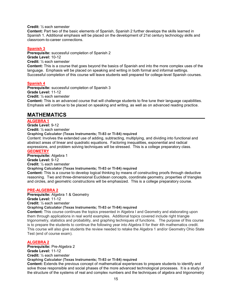**Credit:** ½ each semester

**Content:** Part two of the basic elements of Spanish, Spanish 2 further develops the skills learned in Spanish 1. Additional emphasis will be placed on the development of 21st century technology skills and classroom-to-career connections.

#### **Spanish 3**

**Prerequisite:** successful completion of Spanish 2 **Grade Level:** 10-12 **Credit:** ½ each semester

**Content:** This is a course that goes beyond the basics of Spanish and into the more complex uses of the language. Emphasis will be placed on speaking and writing in both formal and informal settings. Successful completion of this course will leave students well prepared for college-level Spanish courses.

#### **Spanish 4**

**Prerequisite:** successful completion of Spanish 3 **Grade Level:** 11-12 **Credit:** ½ each semester

**Content:** This is an advanced course that will challenge students to fine tune their language capabilities. Emphasis will continue to be placed on speaking and writing, as well as on advanced reading practice.

# **MATHEMATICS**

#### **ALGEBRA 1**

#### **Grade Level:** 9-12

**Credit:** ½ each semester

**Graphing Calculator (Texas Instruments; TI-83 or TI-84) required** 

Content: Involves the extended use of adding, subtracting, multiplying, and dividing into functional and abstract areas of linear and quadratic equations. Factoring inequalities, exponential and radical expressions, and problem solving techniques will be stressed. This is a college preparatory class. **GEOMETRY**

**Prerequisite:** Algebra 1

**Grade Level:** 9-12

**Credit:** ½ each semester

#### **Graphing Calculator (Texas Instruments; TI-83 or TI-84) required**

**Content:** This is a course to develop logical thinking by means of constructing proofs through deductive reasoning. Two and three-dimensional Euclidean concepts, coordinate geometry, properties of triangles and circles, and geometric constructions will be emphasized. This is a college preparatory course.

#### **PRE-ALGEBRA 2**

**Prerequisite:** Algebra 1 & Geometry **Grade Level:** 11-12

**Credit:** ½ each semester

#### **Graphing Calculator (Texas Instruments; TI-83 or TI-84) required**

**Content:** This course continues the topics presented in Algebra I and Geometry and elaborating upon them through applications in real world examples. Additional topics covered include right triangle trigonometry, statistics and probability, and graphing techniques of functions. The purpose of this course is to prepare the students to continue the following year into Algebra II for their 4th mathematics credit. This course will also give students the review needed to retake the Algebra 1 and/or Geometry Ohio State Test (end of course exam).

#### **ALGEBRA 2**

**Prerequisite:** Pre-Algebra 2 **Grade Level:** 11-12 **Credit:** ½ each semester **Graphing Calculator (Texas Instruments; TI-83 or TI-84) required Content:** Extends the previous concept of mathematical experiences to prepare students to identify and solve those responsible and social phases of the more advanced technological processes. It is a study of the structure of the systems of real and complex numbers and the techniques of algebra and trigonometry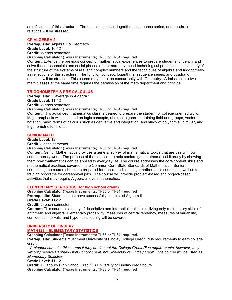as reflections of this structure. The function concept, logarithms, sequence series, and quadratic relations will be stressed.

#### **CP ALGEBRA 2**

**Prerequisite:** Algebra 1 & Geometry **Grade Level:** 10-12 **Credit:** ½ each semester **Graphing Calculator (Texas Instruments; TI-83 or TI-84) required** 

**Content:** Extends the previous concept of mathematical experiences to prepare students to identify and solve those responsible and social phases of the more advanced technological processes. It is a study of the structure of the systems of real and complex numbers and the techniques of algebra and trigonometry as reflections of this structure. The function concept, logarithms, sequence series, and quadratic relations will be stressed. This course may be taken concurrently with Geometry. Admission into two math classes at the same time requires the permission of the math department and principal.

#### **TRIGONOMETRY & PRE-CALCULUS**

**Prerequisite:** C average in Algebra 2 **Grade Level:** 11-12 **Credit:** ½ each semester **Graphing Calculator (Texas Instruments; TI-83 or TI-84) required Content:** This advanced mathematics class is geared to prepare the student for college oriented work. Major emphasis will be placed on logic concepts, abstract algebra pertaining field and groups, vector notation, basic terms of calculus such as derivative and integration, and study of polynomial, circular, and trigonometric functions.

#### **SENIOR MATH**

**Grade Level:** 12

**Credit** ½ each semester

**Graphing Calculator (Texas Instruments; TI-83 or TI-84) required** 

**Content:** Senior Mathematics provides a general survey of mathematical topics that are useful in our contemporary world. The purpose of the course is to help seniors gain mathematical literacy by showing them how mathematics can be applied to everyday life. The course addresses the core content skills and mathematical practices covered in the Common Core State Standards of Mathematics. Seniors completing the course should be prepared for non-remedial college mathematics courses as well as for training programs for career-level jobs. The course will provide problem-based and project-based activities that may require Algebra 2 level mathematics.

#### **ELEMENTARY STATISTICS (for high school credit)**

**Graphing Calculator (Texas Instruments; TI-83 or TI-84) required**

**Prerequisite:** Students must have successfully completed Algebra II*.*

**Grade Level:** 11-12

**Credit:** ½ each semester

**Content:** This course is a study of descriptive and inferential statistics utilizing only rudimentary skills of arithmetic and algebra. Elementary probability, measures of central tendency, measures of variability, confidence intervals, and hypothesis testing will be covered.

#### **UNIVERSITY OF FINDLAY MATH123 – ELEMENTARY STATISTICS**

**Graphing Calculator (Texas Instruments; TI-83 or TI-84) required.**

**Prerequisite:** Students must meet University of Findlay College Credit Plus requirements to earn college credit.

*\*\*A student can take this course if they don't meet the College Credit Plus requirements; however, they will only receive Danbury High School credit, not University of Findlay credit. The course will be listed as Elementary Statistics.*

**Grade Level:** 11-12

**Credit:** 1 Danbury High School Credit / 3 University of Findlay credit hours **Graphing Calculator (Texas Instruments; TI-83 or TI-84) required**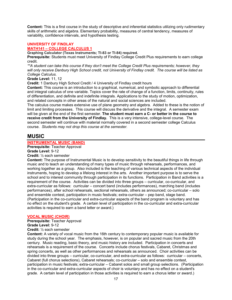**Content:** This is a first course in the study of descriptive and inferential statistics utilizing only rudimentary skills of arithmetic and algebra. Elementary probability, measures of central tendency, measures of variability, confidence intervals, and hypothesis testing.

#### **UNIVERSITY OF FINDLAY**

#### **MATH141 – COLLEGE CALCULUS 1**

**Graphing Calculator (Texas Instruments; TI-83 or TI-84) required.**

**Prerequisite:** Students must meet University of Findlay College Credit Plus requirements to earn college credit.

*\*\*A student can take this course if they don't meet the College Credit Plus requirements; however, they will only receive Danbury High School credit, not University of Findlay credit. The course will be listed as College Calculus.*

#### **Grade Level:** 11, 12

**Credit:** 1 Danbury High School Credit / 4 University of Findlay credit hours

**Content:** This course is an introduction to a graphical, numerical, and symbolic approach to differential and integral calculus of one variable. Topics cover the rate of change of a function, limits, continuity, rules of differentiation, and definite and indefinite integrals. Applications to the study of motion, optimization, and related concepts in other areas of the natural and social sciences are included.

The calculus course makes extensive use of plane geometry and algebra. Added to these is the notion of limit and limiting processes. This course will discuss the derivative and the integral. A semester exam will be given at the end of the first semester. **The student must earn a C- or better in the course to receive credit from the University of Findlay.** This is a very intensive, college-level course. The second semester will continue with material normally covered in a second semester college Calculus course. *Students may not drop this course at the semester.*

### **MUSIC**

#### **INSTRUMENTAL MUSIC (BAND)**

**Prerequisite:** Teacher Approval

**Grade Level:** 9-12

**Credit:** ½ each semester

**Content:** The purpose of Instrumental Music is to develop sensitivity to the beautiful things in life through music and to teach an understanding of many types of music through rehearsals, performances, and working together as a group. Also included is the teaching of various technical aspects of the individual instruments, hoping to develop a lifelong interest in the arts. Another important purpose is to serve the school and to interest community through participation in its functions. Participation in Band activities is a requirement of the course. Activities can be divided into three groups – curricular, co-curricular, and extra-curricular as follows: curricular – concert band (includes performances), marching band (includes performances), after school rehearsals, sectional rehearsals, others as announced; co-curricular – solo and ensemble contest, participation in music festivals; extra-curricular – pep band, stage band. (Participation in the co-curricular and extra-curricular aspects of the band program is voluntary and has no effect on the student's grade. A certain level of participation in the co-curricular and extra-curricular activities is required to earn a band letter or award.)

#### **VOCAL MUSIC (CHOIR)**

**Prerequisite:** Teacher Approval **Grade Level:** 9-12

**Credit:** ½ each semester

**Content:** A variety of vocal music from the 16th century to contemporary popular music is available for study during the school year. The emphasis, however, is on popular and sacred music from the 20th century. Music reading, basic theory, and music history are included. Participation in concerts and rehearsals is a requirement of the course. Concerts include chorus festivals, Cabaret, Christmas and spring concerts, as well as other performances and rehearsals as announced. Choir activities can be divided into three groups – curricular, co-curricular, and extra-curricular as follows: curricular – concerts, Cabaret (full chorus selections), Cabaret rehearsals; co-curricular – solo and ensemble contest, participation in music festivals; extra-curricular – Cabaret solos and small group selections. (Participation in the co-curricular and extra-curricular aspects of choir is voluntary and has no effect on a student's grade. A certain level of participation in those activities is required to earn a chorus letter or award.)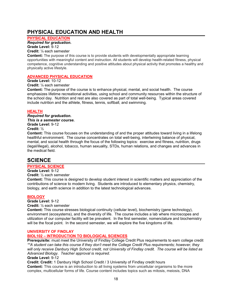# **PHYSICAL EDUCATION AND HEALTH**

**PHYSICAL EDUCATION**

*Required for graduation.* **Grade Level:** 9-12

**Credit:** ¼ each semester

**Content:** The purpose of this course is to provide students with developmentally appropriate learning opportunities with meaningful content and instruction. All students will develop health-related fitness, physical competence, cognitive understanding and positive attitudes about physical activity that promotes a healthy and physically active lifestyle.

#### **ADVANCED PHYSICAL EDUCATION**

#### **Grade Level:** 10-12

**Credit:** ¼ each semester

**Content:** The purpose of the course is to enhance physical, mental, and social health. The course emphasizes lifetime recreational activities, using school and community resources within the structure of the school day. Nutrition and rest are also covered as part of total well-being. Typical areas covered include nutrition and the athlete, fitness, tennis, softball, and swimming.

#### **HEALTH**

*Required for graduation. This is a semester course.* **Grade Level:** 9-12 **Credit:** ½

**Content:** This course focuses on the understanding of and the proper attitudes toward living in a lifelong healthful environment. The course concentrates on total well-being, intertwining balance of physical, mental, and social health through the focus of the following topics: exercise and fitness, nutrition, drugs (legal/illegal), alcohol, tobacco, human sexuality, STDs, human relations, and changes and advances in the medical field.

# **SCIENCE**

#### **PHYSICAL SCIENCE**

**Grade Level:** 9-12

**Credit:** ½ each semester

**Content:** This course is designed to develop student interest in scientific matters and appreciation of the contributions of science to modern living. Students are introduced to elementary physics, chemistry, biology, and earth science in addition to the latest technological advances.

#### **BIOLOGY**

**Grade Level:** 9-12

**Credit:** ½ each semester

**Content:** This course stresses biological continuity (cellular level), biochemistry (gene technology), environment (ecosystems), and the diversity of life. The course includes a lab where microscopes and utilization of our computer facility will be prevalent. In the first semester, nomenclature and biochemistry will be the focal point. In the second semester, we will explore the five kingdoms of life.

#### **UNIVERSITY OF FINDLAY**

#### **BIOL102 – INTRODUCTION TO BIOLOGICAL SCIENCES**

**Prerequisite:** must meet the University of Findlay College Credit Plus requirements to earn college credit *\*\*A student can take this course if they don't meet the College Credit Plus requirements; however, they will only receive Danbury High School credit, not University of Findlay credit. The course will be listed as Advanced Biology. Teacher approval is required.*

**Grade Level:** 9-12

**Credit: Credit:** 1 Danbury High School Credit / 3 University of Findlay credit hours **Content:** This course is an introduction to all living systems from unicellular organisms to the more complex, multicellular forms of life. Course content includes topics such as mitosis, meiosis, DNA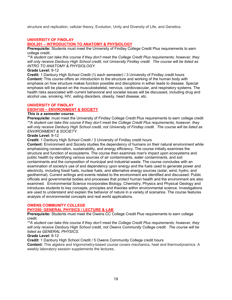structure and replication, cellular theory, Evolution, Unity and Diversity of Life, and Genetics.

#### **UNIVERSITY OF FINDLAY**

#### **BIOL201 – INTRODUCTION TO ANATOMY & PHYSIOLOGY**

**Prerequisite:** Students must meet the University of Findlay College Credit Plus requirements to earn college credit.

*\*\*A student can take this course if they don't meet the College Credit Plus requirements; however, they will only receive Danbury High School credit, not University Findlay credit. The course will be listed as INTRO TO ANATOMY & PHYSIOLOGY.* 

#### **Grade Level:** 9-12

**Credit:** 1 Danbury High School Credit (½ each semester) / 3 University of Findlay credit hours **Content:** This course offers an introduction to the structure and working of the human body with emphasis on how structure makes function possible and disruptions in either leads to disease. Special emphasis will be placed on the musculoskeletal, nervous, cardiovascular, and respiratory systems. The health risks associated with current behavioral and societal issues will be discussed, including drug and alcohol use, smoking, HIV, eating disorders, obesity, heart disease, etc.

# **UNIVERSITY OF FINDLAY**

#### **ESOH100 – ENVIRONMENT & SOCIETY**

#### *This is a semester course.*

**Prerequisite:** must meet the University of Findlay College Credit Plus requirements to earn college credit *\*\*A student can take this course if they don't meet the College Credit Plus requirements; however, they will only receive Danbury High School credit, not University of Findlay credit. The course will be listed as ENVIRONMENT & SOCIETY.* 

#### **Grade Level:** 9-12

**Credit:** 1 Danbury High School Credit / 3 University of Findlay credit hours

**Content:** Environment and Society studies the dependency of humans on their natural environment while emphasizing conservation, sustainability, and energy efficiency. The course initially examines the structure and function of ecosystems. The course then examines man's impact upon ecosystems and public health by identifying various sources of air contaminants, water contaminants, and soil contaminants and the composition of municipal and industrial waste. The course concludes with an examination of society's use of and dependency upon energy and the fuels used to generate power and electricity, including fossil fuels, nuclear fuels, and alternative energy sources (solar, wind, hydro, and geothermal). Current writings and events related to the environment are identified and discussed. Public officials and governmental bodies and processes that protect human health and the environment are also examined. Environmental Science incorporates Biology, Chemistry, Physics and Physical Geology and introduces students to key concepts, principles and theories within environmental science. Investigations are used to understand and explain the behavior of nature in a variety of scenarios. The course features analysis of environmental concepts and real world applications.

#### **OWENS COMMUNITY COLLEGE**

#### **PHY250: GENERAL PHYSICS / LECTURE & LAB**

**Prerequisite:** Students must meet the Owens CC College Credit Plus requirements to earn college credit.

*\*\*A student can take this course if they don't meet the College Credit Plus requirements; however, they will only receive Danbury High School credit, not Owens Community College credit. The course will be listed as GENERAL PHYSICS.* 

**Grade Level:** 9-12

**Credit:** 1 Danbury High School Credit / 5 Owens Community College credit hours

**Content:** This algebra and trigonometry-based course covers mechanics, heat and thermodynamics. A weekly laboratory session supplements the lectures.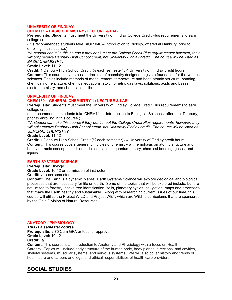#### **UNIVERSITY OF FINDLAY CHEM111 – BASIC CHEMISTRY / LECTURE & LAB**

**Prerequisite:** Students must meet the University of Findlay College Credit Plus requirements to earn college credit.

(It is recommended students take BIOL1040 – Introduction to Biology, offered at Danbury, prior to enrolling in this course.)

*\*\*A student can take this course if they don't meet the College Credit Plus requirements; however, they will only receive Danbury High School credit, not University Findlay credit. The course will be listed as BASIC CHEMISTRY.* 

**Grade Level:** 11-12

**Credit:** 1 Danbury High School Credit (½ each semester) / 4 University of Findlay credit hours **Content:** This course covers basic principles of chemistry designed to give a foundation for the various sciences. Topics include methods of measurement, temperature and heat, atomic structure, bonding, chemical nomenclature, chemical equations, stoichiometry, gas laws, solutions, acids and bases, electrochemistry, and chemical equilibrium.

#### **UNIVERSITY OF FINDLAY**

#### **CHEM130 – GENERAL CHEMISTRY 1 / LECTURE & LAB**

**Prerequisite:** Students must meet the University of Findlay College Credit Plus requirements to earn college credit.

(It is recommended students take CHEM111 – Introduction to Biological Sciences, offered at Danbury, prior to enrolling in this course.)

*\*\*A student can take this course if they don't meet the College Credit Plus requirements; however, they will only receive Danbury High School credit, not University Findlay credit. The course will be listed as GENERAL CHEMISTRY.* 

**Grade Level:** 11-12

**Credit:** 1 Danbury High School Credit (½ each semester) / 4 University of Findlay credit hours **Content:** This course covers general principles of chemistry with emphasis on atomic structure and behavior, mole concept, stoichiometric calculations, quantum theory, chemical bonding, gases, and liquids.

#### **EARTH SYSTEMS SCIENCE**

**Prerequisite:** Biology

**Grade Level:** 10-12 or permission of instructor

**Credit:** ½ each semester

**Content:** The Earth is a dynamic planet. Earth Systems Science will explore geological and biological processes that are necessary for life on earth. Some of the topics that will be explored include, but are not limited to forestry, native tree identification, soils, planetary cycles, navigation, maps and processes that make the Earth healthy and sustainable. Along with researching current issues of our time, this course will utilize the Project WILD and Project WET, which are Wildlife curriculums that are sponsored by the Ohio Division of Natural Resources.

#### **ANATOMY / PHYSIOLOGY**

*This is a semester course.* **Prerequisite:** 2.75 Cum GPA or teacher approval **Grade Level:** 10-12 **Credit:** ½

**Content:** This course is an introduction to Anatomy and Physiology with a focus on Health Careers. Topics will include body structure of the human body, body planes, directions, and cavities, skeletal systems, muscular systems, and nervous systems. We will also cover history and trends of health care and careers and legal and ethical responsibilities of health care providers.

# **SOCIAL STUDIES**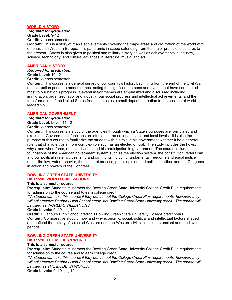#### **WORLD HISTORY**

*Required for graduation.*

**Grade Level:** 9-12

**Credit:** ½ each semester

**Content:** This is a story of man's achievements covering the major areas and civilization of the world with emphasis on Western Europe. It is panoramic in scope extending from the major prehistoric cultures to the present. Stress is also given to political and military history as well as achievements in industry, science, technology, and cultural advances in literature, music, and art.

#### **AMERICAN HISTORY**

#### *Required for graduation.*

**Grade Level:** 10-12

**Credit:** ½ each semester

**Content:** This course is a general survey of our country's history beginning from the end of the Civil War reconstruction period to modern times, noting the significant persons and events that have contributed most to our nation's progress. Several major themes are emphasized and discussed including immigration, organized labor and industry, our social progress and intellectual achievements, and the transformation of the United States from a status as a small dependent nation to the position of world leadership.

#### **AMERICAN GOVERNMENT**

*Required for graduation.* **Grade Level:** Level: 11-12

**Credit:** ½ each semester

**Content:** This course is a study of the agencies through which a State's purposes are formulated and executed. Governmental functions are studied at the national, state, and local levels. It is also the purpose of this course to familiarize the student with his role in his government whether it be a general role, that of a voter, or a more complex role such as an elected official. The study includes the hows, whys, and wherefores, of the individual and his participation in government. The course includes the foundations of the American government system such as the election system, the constitution, federalism and our political system, citizenship and civil rights including fundamental freedoms and equal justice under the law, voter behavior, the electoral process, public opinion and political parties, and the Congress in action and powers of the Congress.

#### **BOWLING GREEN STATE UNIVERSITY HIST1510: WORLD CIVILIZATIONS**

#### **This is a semester course.**

**Prerequisite:** Students must meet the Bowling Green State University College Credit Plus requirements for admission to the course and to earn college credit.

*\*\*A student can take this course if they don't meet the College Credit Plus requirements; however, they will only receive Danbury High School credit, not Bowling Green State University credit. The course will be listed as WORLD CIVILIZATIONS*.

**Grade Levels:** 9, 10, 11, 12

**Credit:** 1 Danbury High School credit / 3 Bowling Green State University College credit hours **Content:** Comparative study of how and why economic, social, political and intellectual factors shaped and defined the history of selected Western and non-Western civilizations in the ancient and medieval periods.

#### **BOWLING GREEN STATE UNIVERSITY HIST1520: THE MODERN WORLD**

#### **This is a semester course.**

**Prerequisite:** Students must meet the Bowling Green State University College Credit Plus requirements for admission to the course and to earn college credit.

*\*\*A student can take this course if they don't meet the College Credit Plus requirements; however, they will only receive Danbury High School credit, not Bowling Green State University credit. The course will be listed as THE MODERN WORLD*.

**Grade Levels:** 9, 10, 11, 12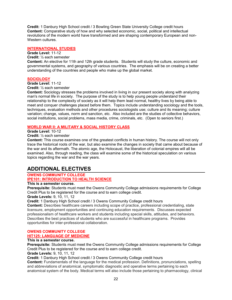**Credit:** 1 Danbury High School credit / 3 Bowling Green State University College credit hours **Content:** Comparative study of how and why selected economic, social, political and intellectual revolutions of the modern world have transformed and are shaping contemporary European and non-Western cultures.

#### **INTERNATIONAL STUDIES**

#### **Grade Level:** 11-12

#### **Credit:** ½ each semester

**Content:** An elective for 11th and 12th grade students. Students will study the culture, economic and governmental systems, and geography of various countries. The emphasis will be on creating a better understanding of the countries and people who make up the global market.

#### **SOCIOLOGY**

#### **Grade Level:** 11-12

**Credit:** ½ each semester

**Content:** Sociology stresses the problems involved in living in our present society along with analyzing man's normal life in society. The purpose of the study is to help young people understand their relationship to the complexity of society as it will help them lead normal, healthy lives by being able to meet and conquer challenges placed before them. Topics include understanding sociology and the tools, techniques, evaluation methods and other procedures sociologists use; culture and its meaning; culture variation; change, values, norm and sanction, etc. Also included are the studies of collective behaviors, social institutions, social problems, mass media, crime, criminals, etc. (Open to seniors first.)

#### **WORLD WAR II: A MILITARY & SOCIAL HISTORY CLASS**

#### **Grade Level:** 10-12

**Credit:** ½ each semester

**Content:** This course examines one of the greatest conflicts in human history. The course will not only trace the historical roots of the war, but also examine the changes in society that came about because of the war and its aftermath. The atomic age, the Holocaust, the liberation of colonial empires will all be examined. Also, through reading, the class will examine some of the historical speculation on various topics regarding the war and the war years.

# **ADDITIONAL ELECTIVES**

#### **OWENS COMMUNITY COLLEGE IPE101: INTRODUCTION TO HEALTH SCIENCE**

#### **This is a semester course.**

**Prerequisite:** Students must meet the Owens Community College admissions requirements for College Credit Plus to be registered for the course and to earn college credit.

#### **Grade Levels:** 9, 10, 11, 12

**Credit:** 1 Danbury High School credit / 3 Owens Community College credit hours

**Content:** Describes healthcare careers including scope of practice, professional credentialing, state licensure, employment opportunities and continuing education requirements. Discusses expected professionalism of healthcare workers and students including special skills, attitudes, and behaviors. Describes the best practices of students who are successful in healthcare programs. Provides opportunities for inter-professional collaboration.

# **OWENS COMMUNITY COLLEGE**

### **HIT125: LANGUAGE OF MEDICINE**

#### **This is a semester course.**

**Prerequisite:** Students must meet the Owens Community College admissions requirements for College Credit Plus to be registered for the course and to earn college credit.

**Grade Levels:** 9, 10, 11, 12

**Credit:** 1 Danbury High School credit / 3 Owens Community College credit hours

**Content:** Fundamentals of the language for the medical profession. Definitions, pronunciations, spelling and abbreviations of anatomical, symptomatic diagnostic and operative terms pertaining to each anatomical system of the body. Medical terms will also include those pertaining to pharmacology, clinical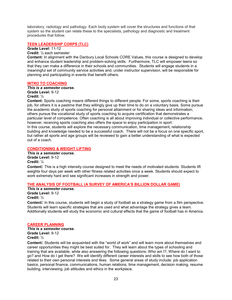laboratory, radiology and pathology. Each body system will cover the structures and functions of that system so the student can relate these to the specialists, pathology and diagnostic and treatment procedures that follow.

#### **TEEN LEADERSHIP CORPS (TLC)**

#### **Grade Level:** 11-12

#### **Credit:** ½ each semester

**Content:** In alignment with the Danbury Local Schools CORE Values, this course is designed to develop and enhance student leadership and problem-solving skills. Furthermore, TLC will empower teens so that they can make a difference in their schools and communities. Students will engage students in a meaningful set of community service activities and, under instructor supervision, will be responsible for planning and participating in events that benefit others.

#### **INTRO TO COACHING**

#### *This is a semester course.*

**Grade Level:** 9-12

#### **Credit:** ½

**Content:** Sports coaching means different things to different people. For some, sports coaching is their job, for others it is a pastime that they willingly give up their time to do on a voluntary basis. Some pursue the academic study of sports coaching for personal attainment or for sharing ideas and information; others pursue the vocational study of sports coaching to acquire certification that demonstrates a particular level of competence. Often coaching is all about improving individual or collective performance, however, receiving sports coaching also offers the space to enjoy participation in sport. In this course, students will explore the necessary communication, time management, relationship building and knowledge needed to be a successful coach. There will not be a focus on one specific sport, but rather all sports and age groups will be reviewed to gain a better understanding of what is expected out of a coach.

#### **CONDITIONING & WEIGHT LIFTING**

*This is a semester course.* **Grade Level:** 9-12 **Credit:** ¼

**Content:** This is a high intensity course designed to meet the needs of motivated students. Students lift weights four days per week with other fitness related activities once a week. Students should expect to work extremely hard and see significant increases in strength and power.

#### **THE ANALYSIS OF FOOTBALL (A SURVEY OF AMERICA'S BILLION DOLLAR GAME)**

*This is a semester course.* **Grade Level:** 9-12 **Credit:** ½

**Content:** In this course, students will begin a study of football as a strategy game from a film perspective. Students will learn specific strategies that are used and what advantage the strategy gives a team. Additionally students will study the economic and cultural effects that the game of football has in America.

#### **CAREER PLANNING**

*This is a semester course.* **Grade Level:** 9-12

#### **Credit:** ½

**Content:** Students will be acquainted with the "world of work" and will learn more about themselves and career opportunities they might be best suited for. They will learn about the types of schooling and training that are available, while also answering the following questions: Who am I?, Where do I want to go? and How do I get there? We will identify different career interests and skills to see how both of those related to their own personal interests and likes. Some general areas of study include: job application basics, personal finance, communications, human relations, time management, decision making, resume building, interviewing, job attitudes and ethics in the workplace.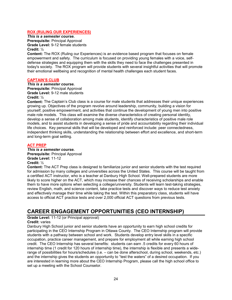#### **ROX (RULING OUR EXPERIENCES)**

*This is a semester course.* **Prerequisite:** Principal Approval **Grade Level:** 9-12 female students

#### **Credit:** ½

**Content:** The ROX (Ruling our Experiences) is an evidence based program that focuses on female empowerment and safety. The curriculum is focused on providing young females with a voice, selfdefense strategies and equipping them with the skills they need to face the challenges presented in today's society. The ROX program will provide students with several insightful activities that will promote their emotional wellbeing and recognition of mental health challenges each student faces.

#### **CAPTAIN'S CLUB**

#### *This is a semester course.*

**Prerequisite:** Principal Approval **Grade Level:** 9-12 male students **Credit:** ½

**Content:** The Captain's Club class is a course for male students that addresses their unique experiences growing up. Objectives of the program revolve around leadership, community, building a vision for yourself, positive empowerment, and activities that continue the development of young men into positive male role models. This class will examine the diverse characteristics of creating personal identity, develop a sense of collaboration among male students, identify characteristics of positive male role models, and to assist students in developing a sense of pride and accountability regarding their individual life choices. Key personal skills that will be developed and reinforced include: peer connectedness, independent thinking skills, understanding the relationship between effort and excellence, and short-term and long-term goal setting.

#### **ACT PREP**

*This is a semester course.* **Prerequisite:** Principal Approval **Grade Level:** 11-12 **Credit:** ½

**Content:** The ACT Prep class is designed to familiarize junior and senior students with the test required for admission by many colleges and universities across the United States. This course will be taught from a certified ACT instructor, who is a teacher at Danbury High School. Well-prepared students are more likely to score higher on the ACT, which may increase their chances of receiving scholarships and enable them to have more options when selecting a college/university. Students will learn test-taking strategies, review English, math, and science content, take practice tests and discover ways to reduce test anxiety and effectively manage their time while taking the test. Within this preparatory class, students will have access to official ACT practice tests and over 2,000 official ACT questions from previous tests.

# **CAREER ENGAGEMENT OPPORTUNITIES (CEO INTERNSHIP)**

#### **Grade Level:** 11-12 (or Principal approval)

#### **Credit:** varies

Danbury High School junior and senior students have an opportunity to earn high school credits for participating in the CEO Internship Program in Ottawa County. The CEO Internship program will provide students with a pathway between school and work. Students develop entry level skills in a specific occupation, practice career management, and prepare for employment all while earning high school credit. The CEO Internship has several benefits: students can earn .5 credits for every 60 hours of internship time (1 credit for 120 hours of internship time), the internship is flexible and presents a widerange of possibilities for hours/schedules (i.e. – can be done afterschool, during school, weekends, etc.) and the internship gives the students an opportunity to "test the waters" of a desired occupation. If you are interested in learning more about the CEO Internship Program, please call the high school office to set up a meeting with the School Counselor.